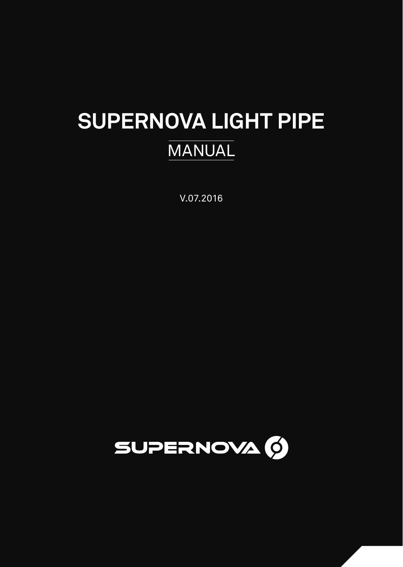# **SUPERNOVA LIGHT PIPE MANUAL**

V.07.2016

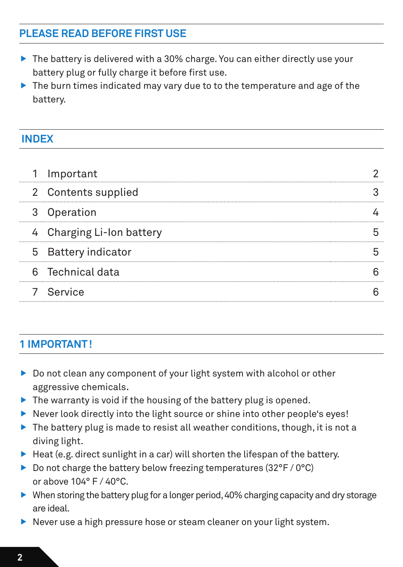# **PLEASE READ BEFORE FIRST USE**

- $\triangleright$  The battery is delivered with a 30% charge. You can either directly use your battery plug or fully charge it before first use.
- $\triangleright$  The burn times indicated may vary due to to the temperature and age of the battery.

## **INDEX**

| 1 Important<br>2 Contents supplied<br>3 Operation<br>4 Charging Li-Ion battery<br>5 Battery indicator<br>6 Technical data<br>7 Service |
|----------------------------------------------------------------------------------------------------------------------------------------|

## **1 IMPORTANT!**

- Do not clean any component of your light system with alcohol or other aggressive chemicals.
- $\blacktriangleright$  The warranty is void if the housing of the battery plug is opened.
- Never look directly into the light source or shine into other people's eyes!
- $\triangleright$  The battery plug is made to resist all weather conditions, though, it is not a diving light.
- $\blacktriangleright$  Heat (e.g. direct sunlight in a car) will shorten the lifespan of the battery.
- Do not charge the battery below freezing temperatures (32 $\degree$ F / 0 $\degree$ C) or above 104° F / 40°C.
- ▶ When storing the battery plug for a longer period, 40% charging capacity and dry storage are ideal.
- Never use a high pressure hose or steam cleaner on your light system.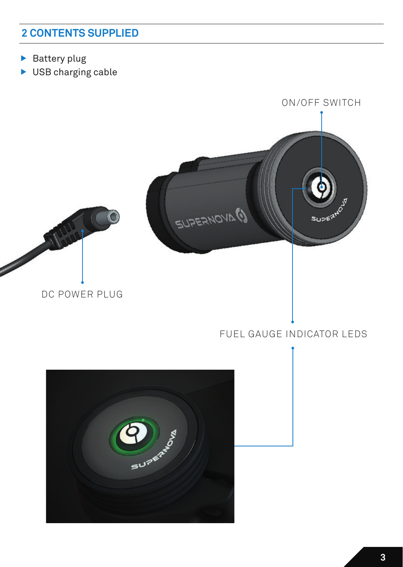# **2 CONTENTS SUPPLIED**

- $\blacktriangleright$  Battery plug
- ▶ USB charging cable

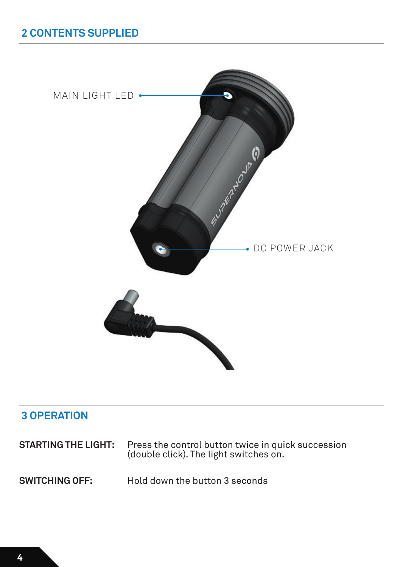# **2 CONTENTS SUPPLIED**



# **3 OPERATION**

| <b>STARTING THE LIGHT:</b> | Press the control button twice in quick succession<br>(double click). The light switches on. |
|----------------------------|----------------------------------------------------------------------------------------------|
| <b>SWITCHING OFF:</b>      | Hold down the button 3 seconds                                                               |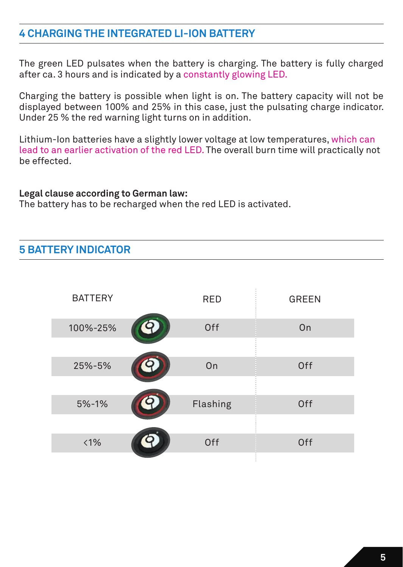## **4 CHARGING THE INTEGRATED LI-ION BATTERY**

The green LED pulsates when the battery is charging. The battery is fully charged after ca. 3 hours and is indicated by a constantly glowing LED.

Charging the battery is possible when light is on. The battery capacity will not be displayed between 100% and 25% in this case, just the pulsating charge indicator. Under 25 % the red warning light turns on in addition.

Lithium-Ion batteries have a slightly lower voltage at low temperatures, which can lead to an earlier activation of the red LED. The overall burn time will practically not be effected.

#### **Legal clause according to German law:**

The battery has to be recharged when the red LED is activated.

## **5 BATTERY INDICATOR**

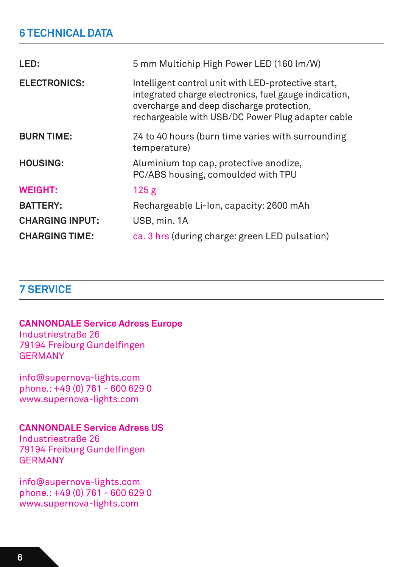# **6 TECHNICAL DATA**

| LED:                   | 5 mm Multichip High Power LED (160 lm/W)                                                                                                                                                                       |
|------------------------|----------------------------------------------------------------------------------------------------------------------------------------------------------------------------------------------------------------|
| <b>ELECTRONICS:</b>    | Intelligent control unit with LED-protective start,<br>integrated charge electronics, fuel gauge indication,<br>overcharge and deep discharge protection,<br>rechargeable with USB/DC Power Plug adapter cable |
| <b>BURN TIME:</b>      | 24 to 40 hours (burn time varies with surrounding<br>temperature)                                                                                                                                              |
| <b>HOUSING:</b>        | Aluminium top cap, protective anodize,<br>PC/ABS housing, comoulded with TPU                                                                                                                                   |
| <b>WEIGHT:</b>         | 125 <sub>g</sub>                                                                                                                                                                                               |
| <b>BATTERY:</b>        | Rechargeable Li-Ion, capacity: 2600 mAh                                                                                                                                                                        |
| <b>CHARGING INPUT:</b> | USB, min. 1A                                                                                                                                                                                                   |
| <b>CHARGING TIME:</b>  | ca. 3 hrs (during charge: green LED pulsation)                                                                                                                                                                 |

## **7 SERVICE**

#### **CANNONDALE Service Adress Europe**

Industriestraße 26 79194 Freiburg Gundelfingen GERMANY

info@supernova-lights.com phone.: +49 (0) 761 - 600 629 0 www.supernova-lights.com

### **CANNONDALE Service Adress US**

Industriestraße 26 79194 Freiburg Gundelfingen GERMANY

info@supernova-lights.com phone.: +49 (0) 761 - 600 629 0 www.supernova-lights.com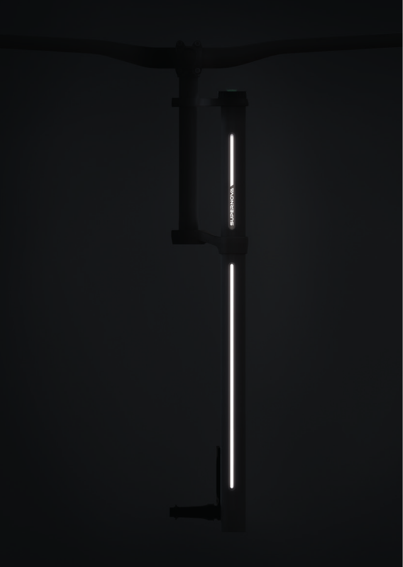